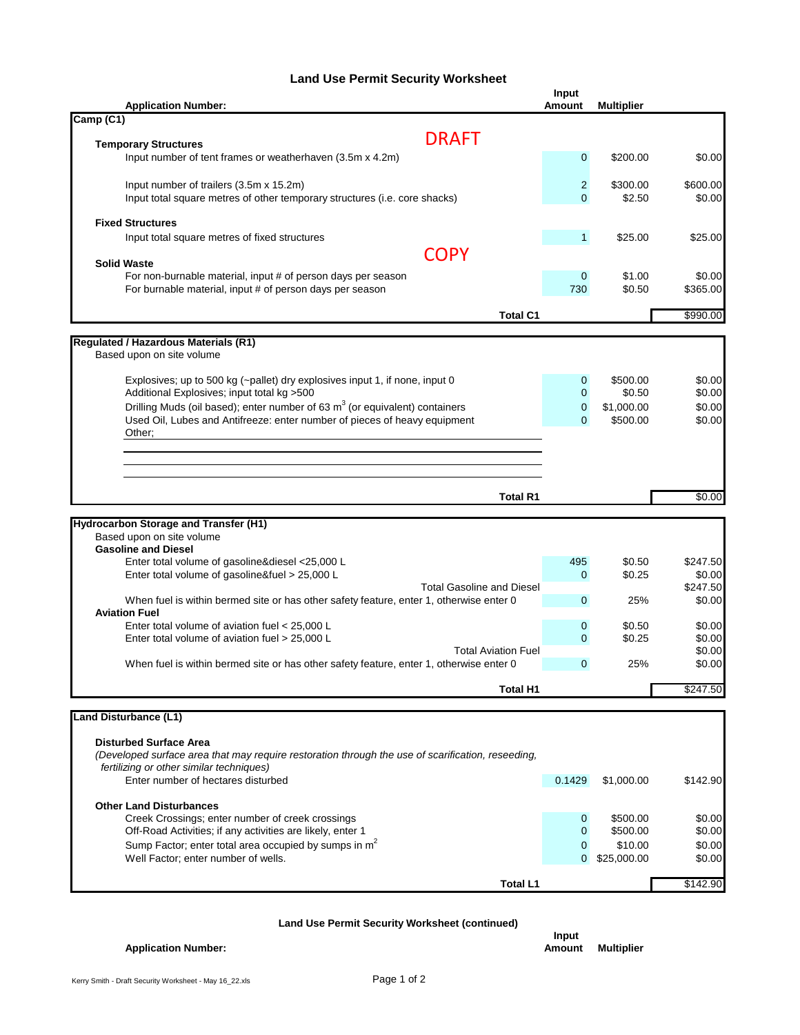## **Land Use Permit Security Worksheet**

| <b>Application Number:</b>                                                                                                                                 | <b>Input</b><br><b>Amount</b> | <b>Multiplier</b>    |                  |
|------------------------------------------------------------------------------------------------------------------------------------------------------------|-------------------------------|----------------------|------------------|
| Camp (C1)                                                                                                                                                  |                               |                      |                  |
| <b>DRAFT</b><br><b>Temporary Structures</b>                                                                                                                |                               |                      |                  |
| Input number of tent frames or weatherhaven (3.5m x 4.2m)                                                                                                  | $\mathbf{0}$                  | \$200.00             | \$0.00           |
| Input number of trailers (3.5m x 15.2m)                                                                                                                    | $\overline{2}$                | \$300.00             | \$600.00         |
| Input total square metres of other temporary structures (i.e. core shacks)                                                                                 | $\Omega$                      | \$2.50               | \$0.00           |
| <b>Fixed Structures</b>                                                                                                                                    |                               |                      |                  |
| Input total square metres of fixed structures                                                                                                              | $\mathbf{1}$                  | \$25.00              | \$25.00          |
| <b>COPY</b><br><b>Solid Waste</b>                                                                                                                          |                               |                      |                  |
| For non-burnable material, input # of person days per season                                                                                               | $\mathbf 0$                   | \$1.00               | \$0.00           |
| For burnable material, input # of person days per season                                                                                                   | 730                           | \$0.50               | \$365.00         |
| <b>Total C1</b>                                                                                                                                            |                               |                      | \$990.00         |
| <b>Regulated / Hazardous Materials (R1)</b>                                                                                                                |                               |                      |                  |
| Based upon on site volume                                                                                                                                  |                               |                      |                  |
| Explosives; up to 500 kg (~pallet) dry explosives input 1, if none, input 0                                                                                | $\mathbf 0$                   | \$500.00             | \$0.00           |
| Additional Explosives; input total kg >500                                                                                                                 | 0                             | \$0.50               | \$0.00           |
| Drilling Muds (oil based); enter number of 63 $m3$ (or equivalent) containers<br>Used Oil, Lubes and Antifreeze: enter number of pieces of heavy equipment | $\mathbf{0}$                  | \$1,000.00           | \$0.00           |
| Other;                                                                                                                                                     | $\mathbf{0}$                  | \$500.00             | \$0.00           |
|                                                                                                                                                            |                               |                      |                  |
|                                                                                                                                                            |                               |                      |                  |
|                                                                                                                                                            |                               |                      |                  |
| <b>Total R1</b>                                                                                                                                            |                               |                      | \$0.00           |
| <b>Hydrocarbon Storage and Transfer (H1)</b>                                                                                                               |                               |                      |                  |
| Based upon on site volume                                                                                                                                  |                               |                      |                  |
| <b>Gasoline and Diesel</b>                                                                                                                                 | 495                           | \$0.50               | \$247.50         |
| Enter total volume of gasoline&diesel <25,000 L<br>Enter total volume of gasoline&fuel > 25,000 L                                                          | $\mathbf{0}$                  | \$0.25               | \$0.00           |
| <b>Total Gasoline and Diesel</b>                                                                                                                           |                               |                      | \$247.50         |
| When fuel is within bermed site or has other safety feature, enter 1, otherwise enter 0<br><b>Aviation Fuel</b>                                            | $\mathbf{0}$                  | 25%                  | \$0.00           |
| Enter total volume of aviation fuel $<$ 25,000 L                                                                                                           | $\mathbf 0$                   | \$0.50               | \$0.00           |
| Enter total volume of aviation fuel > 25,000 L                                                                                                             | $\Omega$                      | \$0.25               | \$0.00           |
| <b>Total Aviation Fuel</b><br>When fuel is within bermed site or has other safety feature, enter 1, otherwise enter 0                                      | $\mathbf{0}$                  | 25%                  | \$0.00<br>\$0.00 |
|                                                                                                                                                            |                               |                      |                  |
| Total H1                                                                                                                                                   |                               |                      | \$247.50         |
| <b>Land Disturbance (L1)</b>                                                                                                                               |                               |                      |                  |
| <b>Disturbed Surface Area</b>                                                                                                                              |                               |                      |                  |
| (Developed surface area that may require restoration through the use of scarification, reseeding,                                                          |                               |                      |                  |
| fertilizing or other similar techniques)<br>Enter number of hectares disturbed                                                                             | 0.1429                        | \$1,000.00           | \$142.90         |
|                                                                                                                                                            |                               |                      |                  |
| <b>Other Land Disturbances</b>                                                                                                                             |                               |                      |                  |
| Creek Crossings; enter number of creek crossings<br>Off-Road Activities; if any activities are likely, enter 1                                             | $\mathbf{0}$<br>$\Omega$      | \$500.00<br>\$500.00 | \$0.00<br>\$0.00 |
| Sump Factor; enter total area occupied by sumps in m <sup>2</sup>                                                                                          | $\mathbf{0}$                  | \$10.00              | \$0.00           |
| Well Factor; enter number of wells.                                                                                                                        | $\Omega$                      | \$25,000.00          | \$0.00           |
| <b>Total L1</b>                                                                                                                                            |                               |                      | \$142.90         |
|                                                                                                                                                            |                               |                      |                  |

## **Land Use Permit Security Worksheet (continued)**

## **Application Number: Amount Amount A**

| Input  |                   |
|--------|-------------------|
| Amount | <b>Multiplier</b> |